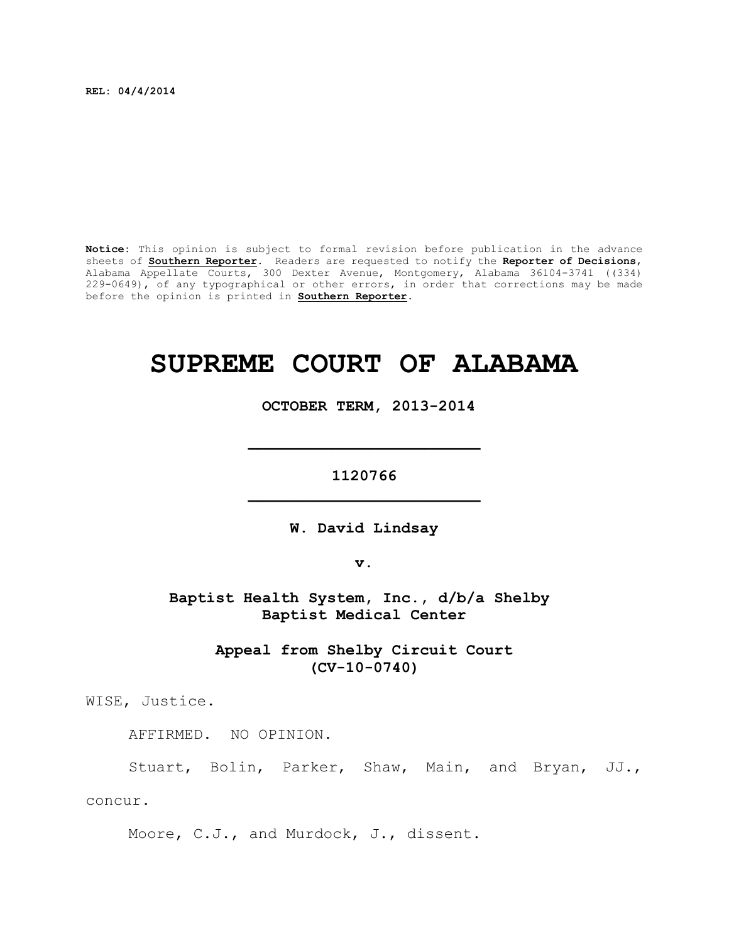**REL: 04/4/2014**

**Notice:** This opinion is subject to formal revision before publication in the advance sheets of **Southern Reporter**. Readers are requested to notify the **Reporter of Decisions**, Alabama Appellate Courts, 300 Dexter Avenue, Montgomery, Alabama 36104-3741 ((334) 229-0649), of any typographical or other errors, in order that corrections may be made before the opinion is printed in **Southern Reporter**.

# **SUPREME COURT OF ALABAMA**

 **OCTOBER TERM, 2013-2014**

**1120766 \_\_\_\_\_\_\_\_\_\_\_\_\_\_\_\_\_\_\_\_\_\_\_\_\_**

**\_\_\_\_\_\_\_\_\_\_\_\_\_\_\_\_\_\_\_\_\_\_\_\_\_**

**W. David Lindsay**

**v.**

**Baptist Health System, Inc., d/b/a Shelby Baptist Medical Center**

> **Appeal from Shelby Circuit Court (CV-10-0740)**

WISE, Justice.

AFFIRMED. NO OPINION.

Stuart, Bolin, Parker, Shaw, Main, and Bryan, JJ.,

concur.

Moore, C.J., and Murdock, J., dissent.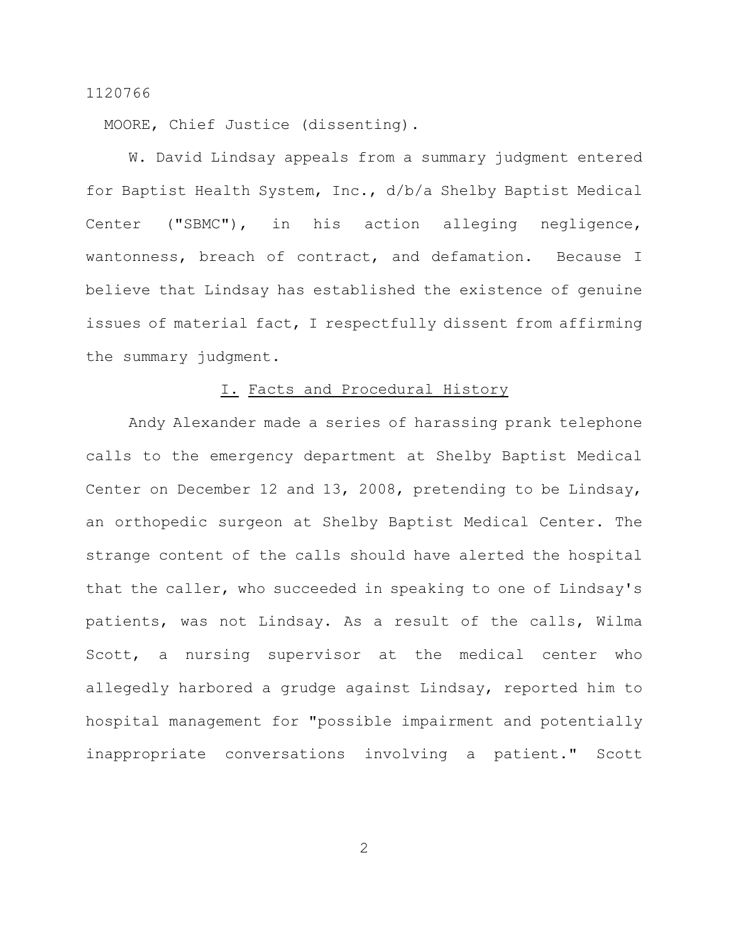MOORE, Chief Justice (dissenting).

W. David Lindsay appeals from a summary judgment entered for Baptist Health System, Inc., d/b/a Shelby Baptist Medical Center ("SBMC"), in his action alleging negligence, wantonness, breach of contract, and defamation. Because I believe that Lindsay has established the existence of genuine issues of material fact, I respectfully dissent from affirming the summary judgment.

# I. Facts and Procedural History

Andy Alexander made a series of harassing prank telephone calls to the emergency department at Shelby Baptist Medical Center on December 12 and 13, 2008, pretending to be Lindsay, an orthopedic surgeon at Shelby Baptist Medical Center. The strange content of the calls should have alerted the hospital that the caller, who succeeded in speaking to one of Lindsay's patients, was not Lindsay. As a result of the calls, Wilma Scott, a nursing supervisor at the medical center who allegedly harbored a grudge against Lindsay, reported him to hospital management for "possible impairment and potentially inappropriate conversations involving a patient." Scott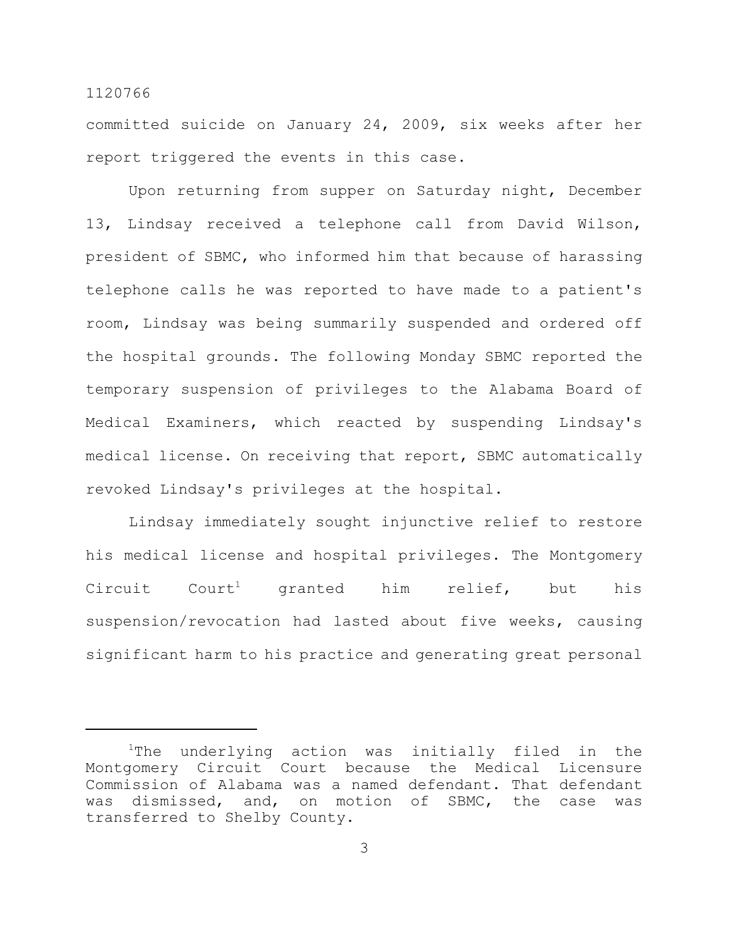committed suicide on January 24, 2009, six weeks after her report triggered the events in this case.

Upon returning from supper on Saturday night, December 13, Lindsay received a telephone call from David Wilson, president of SBMC, who informed him that because of harassing telephone calls he was reported to have made to a patient's room, Lindsay was being summarily suspended and ordered off the hospital grounds. The following Monday SBMC reported the temporary suspension of privileges to the Alabama Board of Medical Examiners, which reacted by suspending Lindsay's medical license. On receiving that report, SBMC automatically revoked Lindsay's privileges at the hospital.

Lindsay immediately sought injunctive relief to restore his medical license and hospital privileges. The Montgomery  $Circuit$   $Court<sup>1</sup>$  granted him relief, but his suspension/revocation had lasted about five weeks, causing significant harm to his practice and generating great personal

 $1$ The underlying action was initially filed in the Montgomery Circuit Court because the Medical Licensure Commission of Alabama was a named defendant. That defendant was dismissed, and, on motion of SBMC, the case was transferred to Shelby County.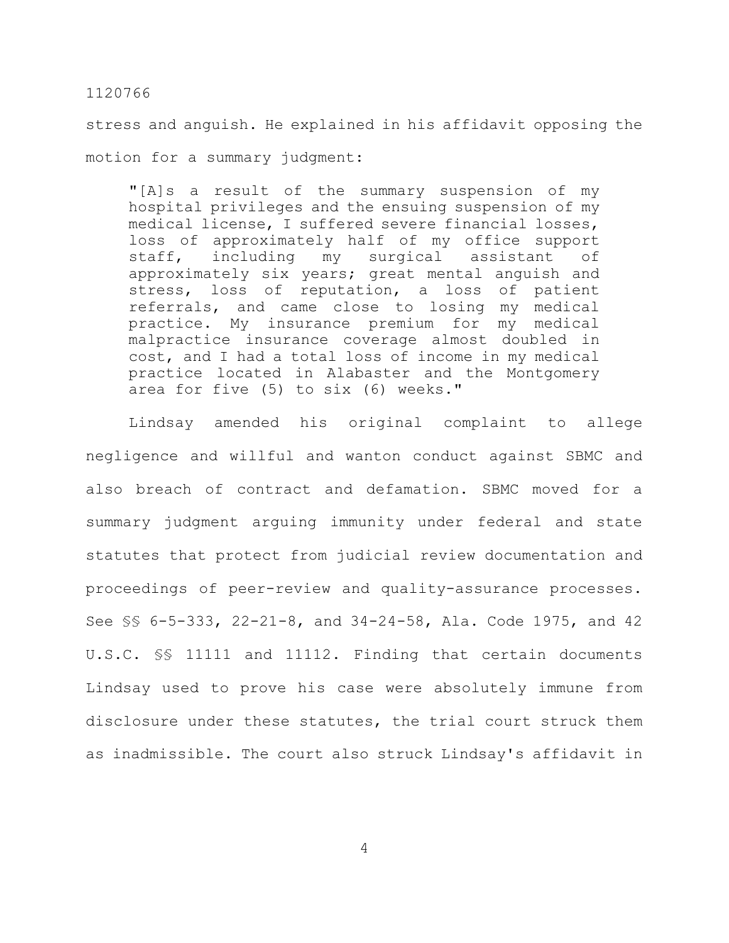stress and anguish. He explained in his affidavit opposing the motion for a summary judgment:

"[A]s a result of the summary suspension of my hospital privileges and the ensuing suspension of my medical license, I suffered severe financial losses, loss of approximately half of my office support staff, including my surgical assistant of approximately six years; great mental anguish and stress, loss of reputation, a loss of patient referrals, and came close to losing my medical practice. My insurance premium for my medical malpractice insurance coverage almost doubled in cost, and I had a total loss of income in my medical practice located in Alabaster and the Montgomery area for five (5) to six (6) weeks."

Lindsay amended his original complaint to allege negligence and willful and wanton conduct against SBMC and also breach of contract and defamation. SBMC moved for a summary judgment arguing immunity under federal and state statutes that protect from judicial review documentation and proceedings of peer-review and quality-assurance processes. See §§ 6-5-333, 22-21-8, and 34-24-58, Ala. Code 1975, and 42 U.S.C. §§ 11111 and 11112. Finding that certain documents Lindsay used to prove his case were absolutely immune from disclosure under these statutes, the trial court struck them as inadmissible. The court also struck Lindsay's affidavit in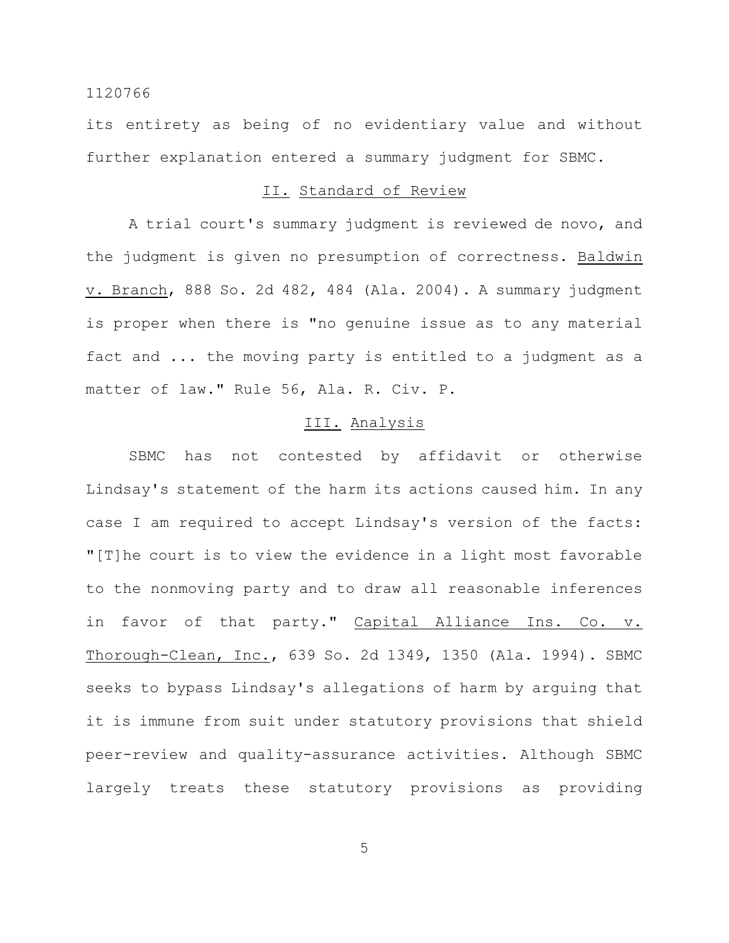its entirety as being of no evidentiary value and without further explanation entered a summary judgment for SBMC.

### II. Standard of Review

A trial court's summary judgment is reviewed de novo, and the judgment is given no presumption of correctness. Baldwin v. Branch, 888 So. 2d 482, 484 (Ala. 2004). A summary judgment is proper when there is "no genuine issue as to any material fact and ... the moving party is entitled to a judgment as a matter of law." Rule 56, Ala. R. Civ. P.

### III. Analysis

SBMC has not contested by affidavit or otherwise Lindsay's statement of the harm its actions caused him. In any case I am required to accept Lindsay's version of the facts: "[T]he court is to view the evidence in a light most favorable to the nonmoving party and to draw all reasonable inferences in favor of that party." Capital Alliance Ins. Co. v. Thorough-Clean, Inc., 639 So. 2d 1349, 1350 (Ala. 1994). SBMC seeks to bypass Lindsay's allegations of harm by arguing that it is immune from suit under statutory provisions that shield peer-review and quality-assurance activities. Although SBMC largely treats these statutory provisions as providing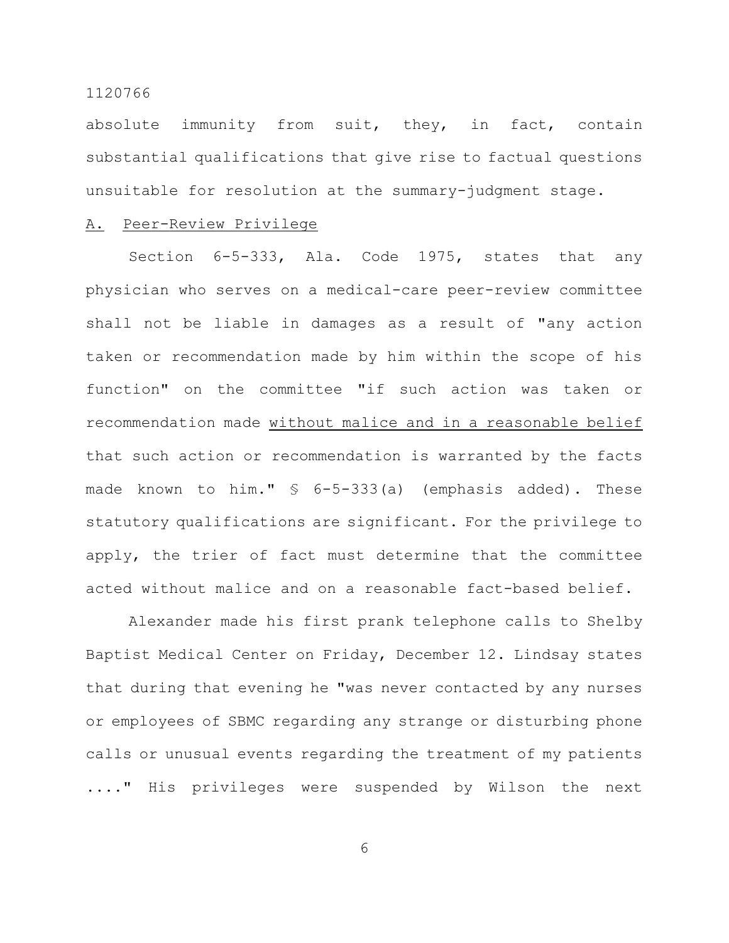absolute immunity from suit, they, in fact, contain substantial qualifications that give rise to factual questions unsuitable for resolution at the summary-judgment stage.

### A. Peer-Review Privilege

Section 6-5-333, Ala. Code 1975, states that any physician who serves on a medical-care peer-review committee shall not be liable in damages as a result of "any action taken or recommendation made by him within the scope of his function" on the committee "if such action was taken or recommendation made without malice and in a reasonable belief that such action or recommendation is warranted by the facts made known to him." § 6-5-333(a) (emphasis added). These statutory qualifications are significant. For the privilege to apply, the trier of fact must determine that the committee acted without malice and on a reasonable fact-based belief.

Alexander made his first prank telephone calls to Shelby Baptist Medical Center on Friday, December 12. Lindsay states that during that evening he "was never contacted by any nurses or employees of SBMC regarding any strange or disturbing phone calls or unusual events regarding the treatment of my patients ...." His privileges were suspended by Wilson the next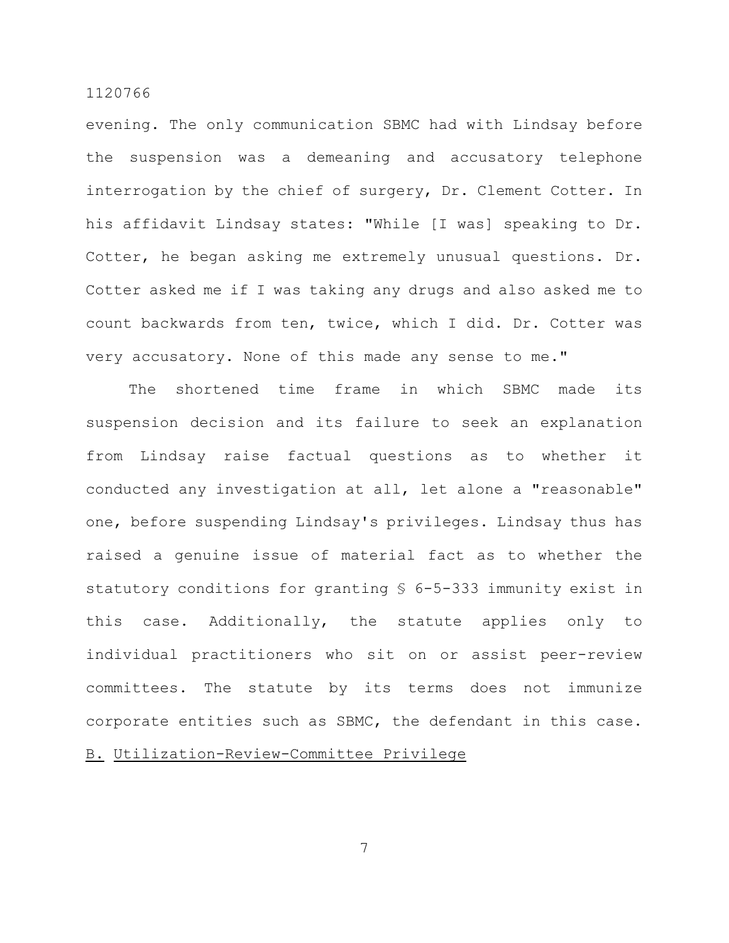evening. The only communication SBMC had with Lindsay before the suspension was a demeaning and accusatory telephone interrogation by the chief of surgery, Dr. Clement Cotter. In his affidavit Lindsay states: "While [I was] speaking to Dr. Cotter, he began asking me extremely unusual questions. Dr. Cotter asked me if I was taking any drugs and also asked me to count backwards from ten, twice, which I did. Dr. Cotter was very accusatory. None of this made any sense to me."

The shortened time frame in which SBMC made its suspension decision and its failure to seek an explanation from Lindsay raise factual questions as to whether it conducted any investigation at all, let alone a "reasonable" one, before suspending Lindsay's privileges. Lindsay thus has raised a genuine issue of material fact as to whether the statutory conditions for granting § 6-5-333 immunity exist in this case. Additionally, the statute applies only to individual practitioners who sit on or assist peer-review committees. The statute by its terms does not immunize corporate entities such as SBMC, the defendant in this case.

# B. Utilization-Review-Committee Privilege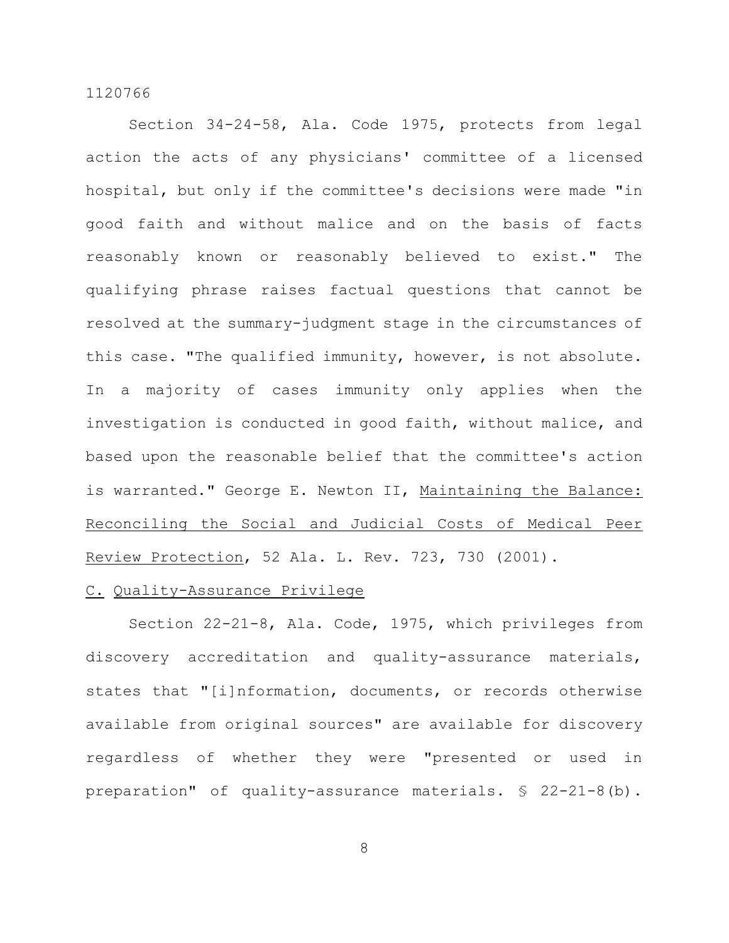Section 34-24-58, Ala. Code 1975, protects from legal action the acts of any physicians' committee of a licensed hospital, but only if the committee's decisions were made "in good faith and without malice and on the basis of facts reasonably known or reasonably believed to exist." The qualifying phrase raises factual questions that cannot be resolved at the summary-judgment stage in the circumstances of this case. "The qualified immunity, however, is not absolute. In a majority of cases immunity only applies when the investigation is conducted in good faith, without malice, and based upon the reasonable belief that the committee's action is warranted." George E. Newton II, Maintaining the Balance: Reconciling the Social and Judicial Costs of Medical Peer Review Protection, 52 Ala. L. Rev. 723, 730 (2001).

### C. Quality-Assurance Privilege

Section 22-21-8, Ala. Code, 1975, which privileges from discovery accreditation and quality-assurance materials, states that "[i]nformation, documents, or records otherwise available from original sources" are available for discovery regardless of whether they were "presented or used in preparation" of quality-assurance materials. § 22-21-8(b).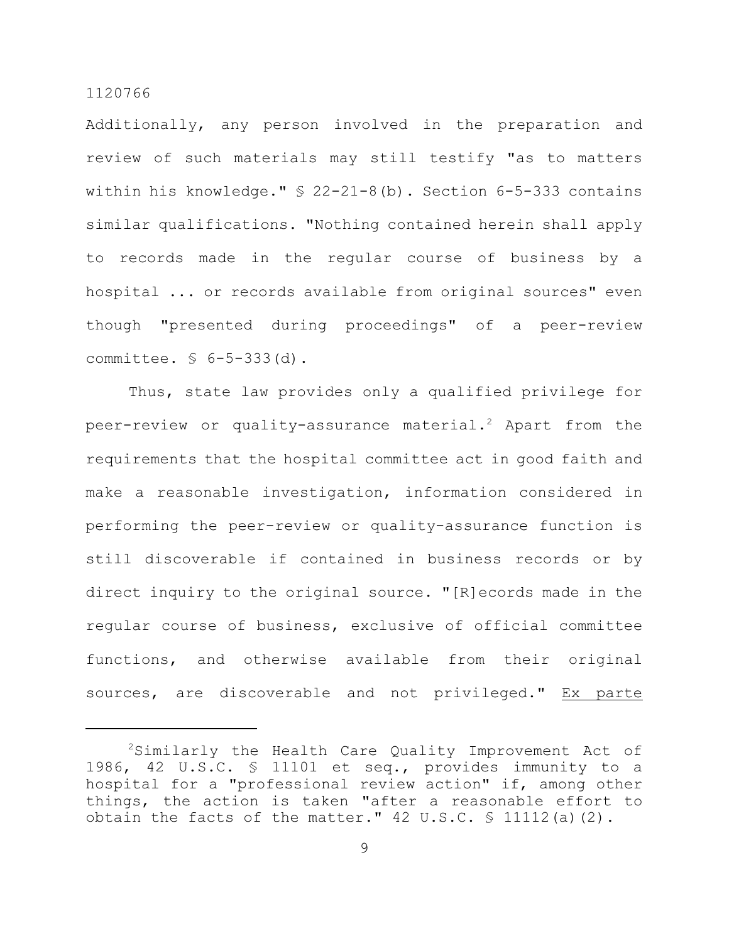Additionally, any person involved in the preparation and review of such materials may still testify "as to matters within his knowledge." § 22-21-8(b). Section 6-5-333 contains similar qualifications. "Nothing contained herein shall apply to records made in the regular course of business by a hospital ... or records available from original sources" even though "presented during proceedings" of a peer-review committee. § 6-5-333(d).

Thus, state law provides only a qualified privilege for peer-review or quality-assurance material.<sup>2</sup> Apart from the requirements that the hospital committee act in good faith and make a reasonable investigation, information considered in performing the peer-review or quality-assurance function is still discoverable if contained in business records or by direct inquiry to the original source. "[R]ecords made in the regular course of business, exclusive of official committee functions, and otherwise available from their original sources, are discoverable and not privileged." Ex parte

 $2$ Similarly the Health Care Quality Improvement Act of 1986, 42 U.S.C. § 11101 et seq., provides immunity to a hospital for a "professional review action" if, among other things, the action is taken "after a reasonable effort to obtain the facts of the matter."  $42 \text{ U.S.C. }$  \$ 11112(a)(2).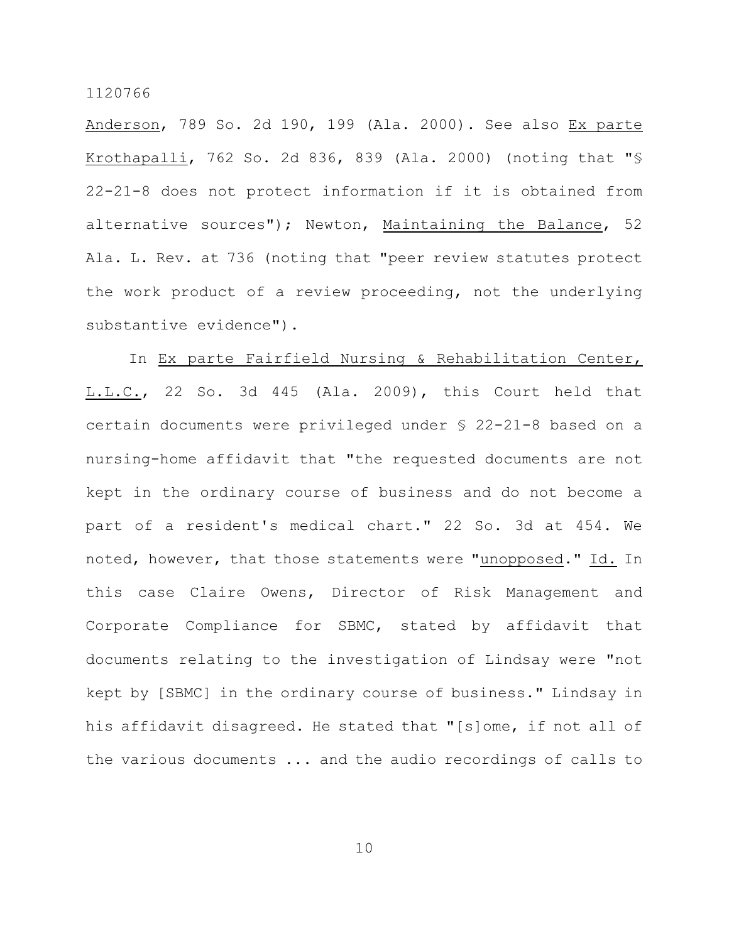Anderson, 789 So. 2d 190, 199 (Ala. 2000). See also Ex parte Krothapalli, 762 So. 2d 836, 839 (Ala. 2000) (noting that "§ 22-21-8 does not protect information if it is obtained from alternative sources"); Newton, Maintaining the Balance, 52 Ala. L. Rev. at 736 (noting that "peer review statutes protect the work product of a review proceeding, not the underlying substantive evidence").

In Ex parte Fairfield Nursing & Rehabilitation Center, L.L.C., 22 So. 3d 445 (Ala. 2009), this Court held that certain documents were privileged under § 22-21-8 based on a nursing-home affidavit that "the requested documents are not kept in the ordinary course of business and do not become a part of a resident's medical chart." 22 So. 3d at 454. We noted, however, that those statements were "unopposed." Id. In this case Claire Owens, Director of Risk Management and Corporate Compliance for SBMC, stated by affidavit that documents relating to the investigation of Lindsay were "not kept by [SBMC] in the ordinary course of business." Lindsay in his affidavit disagreed. He stated that "[s]ome, if not all of the various documents ... and the audio recordings of calls to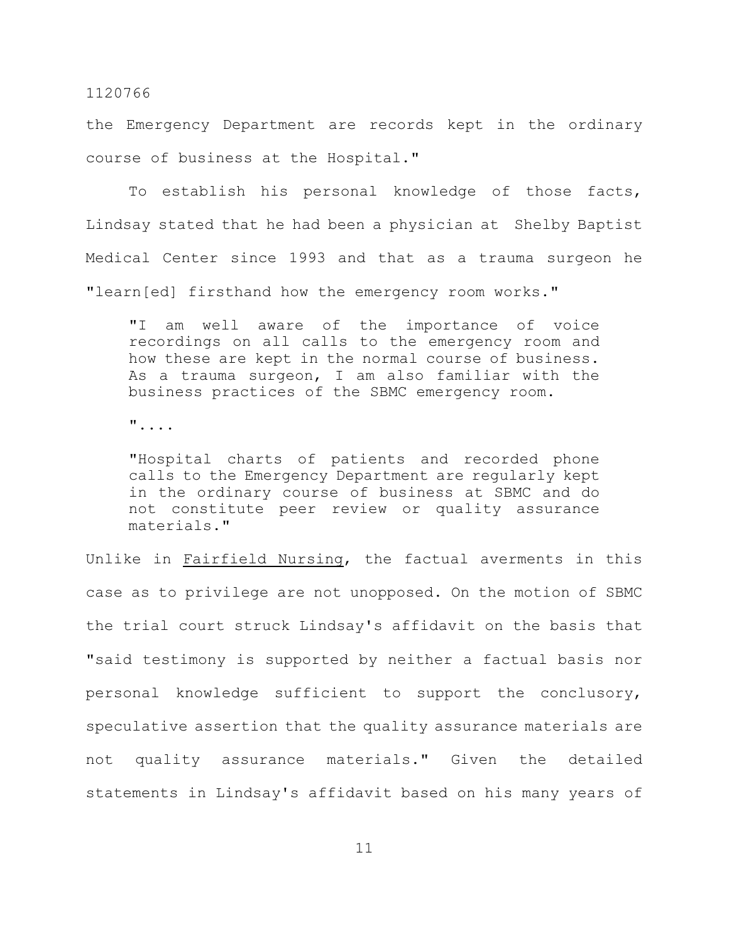the Emergency Department are records kept in the ordinary course of business at the Hospital."

To establish his personal knowledge of those facts, Lindsay stated that he had been a physician at Shelby Baptist Medical Center since 1993 and that as a trauma surgeon he "learn[ed] firsthand how the emergency room works."

"I am well aware of the importance of voice recordings on all calls to the emergency room and how these are kept in the normal course of business. As a trauma surgeon, I am also familiar with the business practices of the SBMC emergency room.

"....

"Hospital charts of patients and recorded phone calls to the Emergency Department are regularly kept in the ordinary course of business at SBMC and do not constitute peer review or quality assurance materials."

Unlike in Fairfield Nursing, the factual averments in this case as to privilege are not unopposed. On the motion of SBMC the trial court struck Lindsay's affidavit on the basis that "said testimony is supported by neither a factual basis nor personal knowledge sufficient to support the conclusory, speculative assertion that the quality assurance materials are not quality assurance materials." Given the detailed statements in Lindsay's affidavit based on his many years of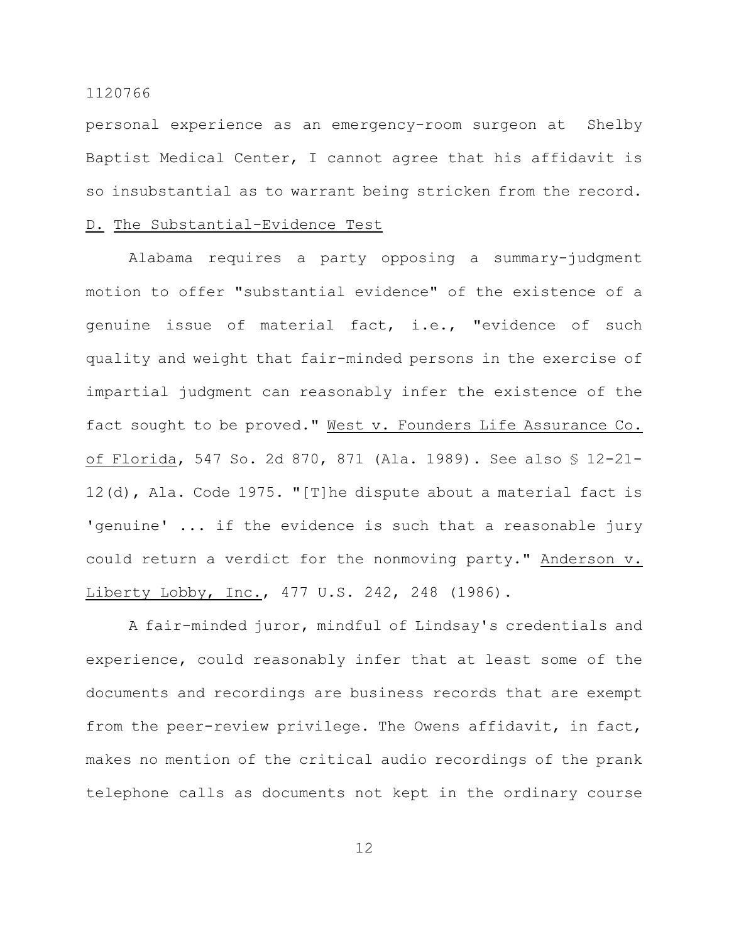personal experience as an emergency-room surgeon at Shelby Baptist Medical Center, I cannot agree that his affidavit is so insubstantial as to warrant being stricken from the record.

### D. The Substantial-Evidence Test

Alabama requires a party opposing a summary-judgment motion to offer "substantial evidence" of the existence of a genuine issue of material fact, i.e., "evidence of such quality and weight that fair-minded persons in the exercise of impartial judgment can reasonably infer the existence of the fact sought to be proved." West v. Founders Life Assurance Co. of Florida, 547 So. 2d 870, 871 (Ala. 1989). See also § 12-21- 12(d), Ala. Code 1975. "[T]he dispute about a material fact is 'genuine' ... if the evidence is such that a reasonable jury could return a verdict for the nonmoving party." Anderson v. Liberty Lobby, Inc., 477 U.S. 242, 248 (1986).

A fair-minded juror, mindful of Lindsay's credentials and experience, could reasonably infer that at least some of the documents and recordings are business records that are exempt from the peer-review privilege. The Owens affidavit, in fact, makes no mention of the critical audio recordings of the prank telephone calls as documents not kept in the ordinary course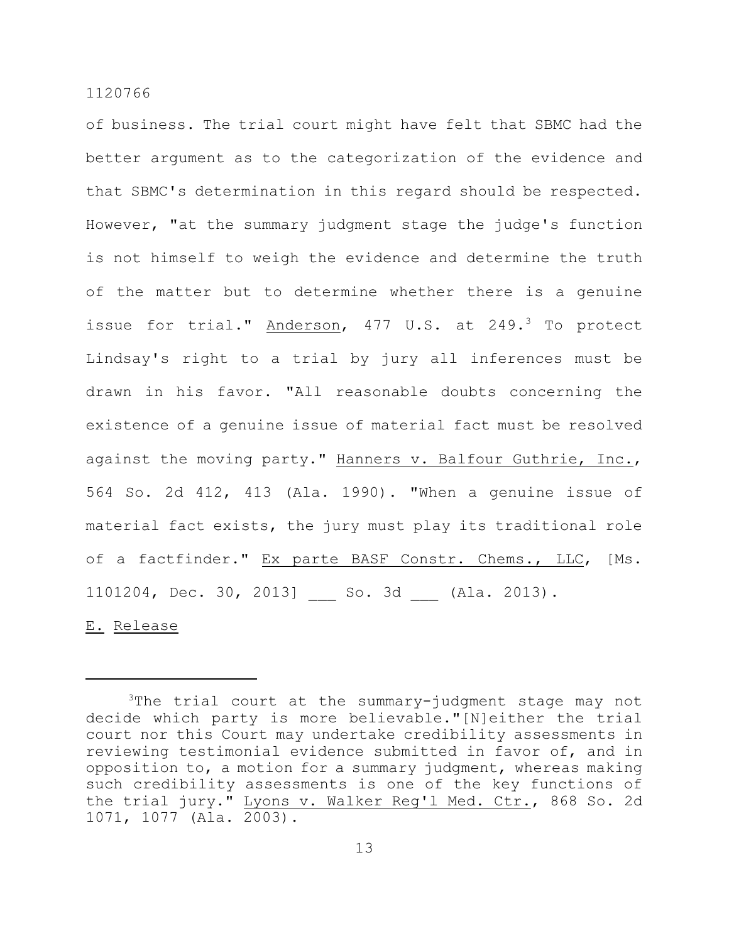of business. The trial court might have felt that SBMC had the better argument as to the categorization of the evidence and that SBMC's determination in this regard should be respected. However, "at the summary judgment stage the judge's function is not himself to weigh the evidence and determine the truth of the matter but to determine whether there is a genuine issue for trial." Anderson, 477 U.S. at 249.<sup>3</sup> To protect Lindsay's right to a trial by jury all inferences must be drawn in his favor. "All reasonable doubts concerning the existence of a genuine issue of material fact must be resolved against the moving party." Hanners v. Balfour Guthrie, Inc., 564 So. 2d 412, 413 (Ala. 1990). "When a genuine issue of material fact exists, the jury must play its traditional role of a factfinder." Ex parte BASF Constr. Chems., LLC, [Ms. 1101204, Dec. 30, 2013] \_\_\_ So. 3d \_\_\_ (Ala. 2013).

E. Release

 $3$ The trial court at the summary-judgment stage may not decide which party is more believable."[N]either the trial court nor this Court may undertake credibility assessments in reviewing testimonial evidence submitted in favor of, and in opposition to, a motion for a summary judgment, whereas making such credibility assessments is one of the key functions of the trial jury." Lyons v. Walker Reg'l Med. Ctr., 868 So. 2d 1071, 1077 (Ala. 2003).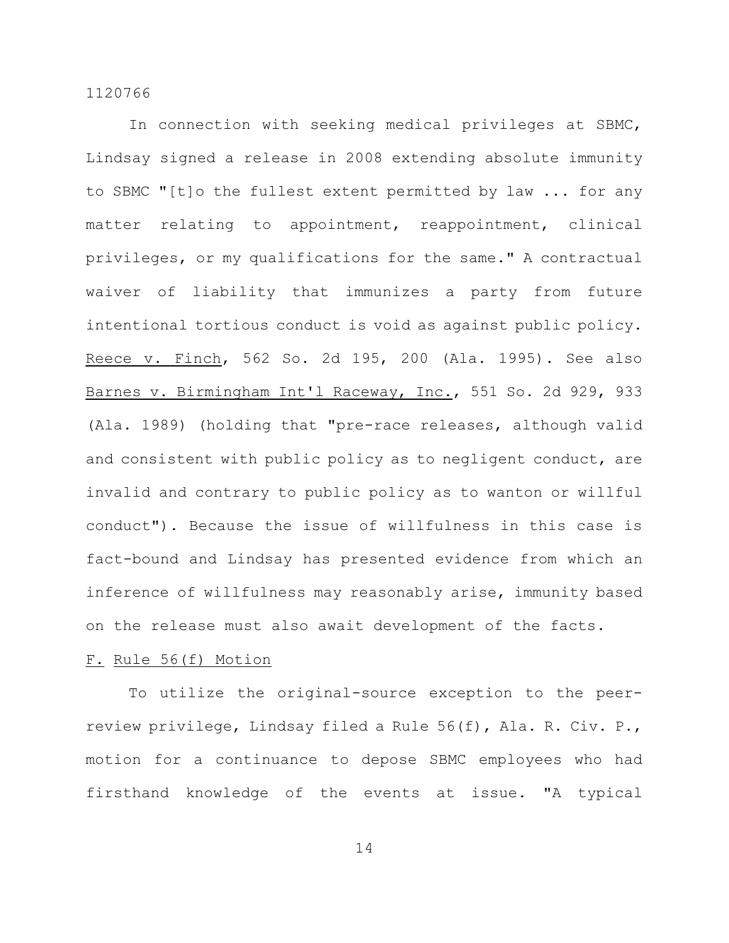In connection with seeking medical privileges at SBMC, Lindsay signed a release in 2008 extending absolute immunity to SBMC "[t]o the fullest extent permitted by law ... for any matter relating to appointment, reappointment, clinical privileges, or my qualifications for the same." A contractual waiver of liability that immunizes a party from future intentional tortious conduct is void as against public policy. Reece v. Finch, 562 So. 2d 195, 200 (Ala. 1995). See also Barnes v. Birmingham Int'l Raceway, Inc., 551 So. 2d 929, 933 (Ala. 1989) (holding that "pre-race releases, although valid and consistent with public policy as to negligent conduct, are invalid and contrary to public policy as to wanton or willful conduct"). Because the issue of willfulness in this case is fact-bound and Lindsay has presented evidence from which an inference of willfulness may reasonably arise, immunity based on the release must also await development of the facts.

#### F. Rule 56(f) Motion

To utilize the original-source exception to the peerreview privilege, Lindsay filed a Rule 56(f), Ala. R. Civ. P., motion for a continuance to depose SBMC employees who had firsthand knowledge of the events at issue. "A typical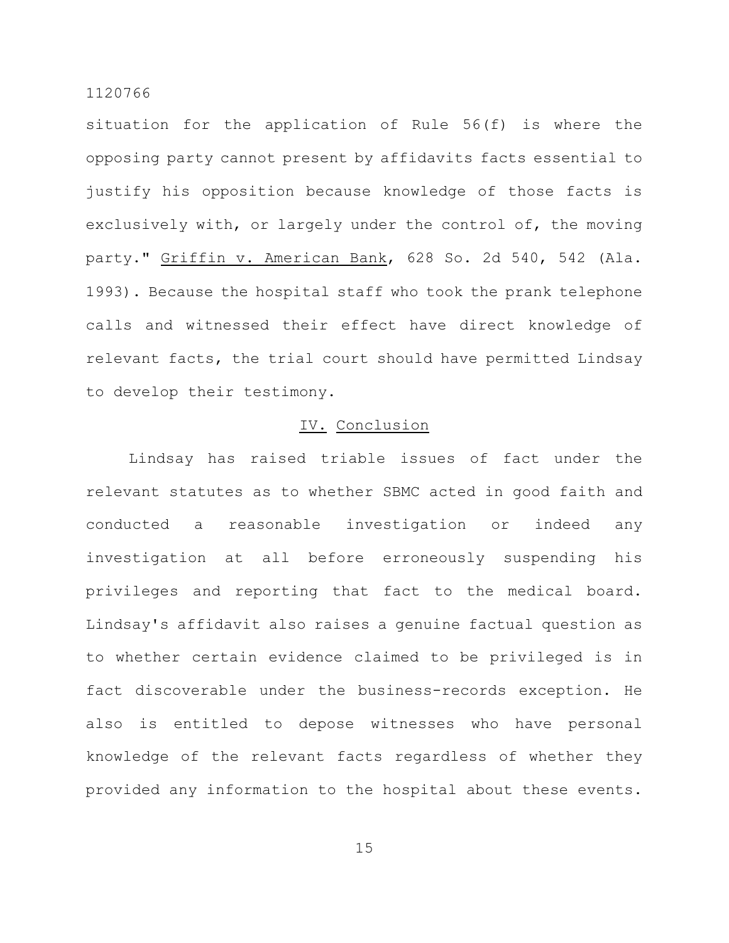situation for the application of Rule 56(f) is where the opposing party cannot present by affidavits facts essential to justify his opposition because knowledge of those facts is exclusively with, or largely under the control of, the moving party." Griffin v. American Bank, 628 So. 2d 540, 542 (Ala. 1993). Because the hospital staff who took the prank telephone calls and witnessed their effect have direct knowledge of relevant facts, the trial court should have permitted Lindsay to develop their testimony.

### IV. Conclusion

Lindsay has raised triable issues of fact under the relevant statutes as to whether SBMC acted in good faith and conducted a reasonable investigation or indeed any investigation at all before erroneously suspending his privileges and reporting that fact to the medical board. Lindsay's affidavit also raises a genuine factual question as to whether certain evidence claimed to be privileged is in fact discoverable under the business-records exception. He also is entitled to depose witnesses who have personal knowledge of the relevant facts regardless of whether they provided any information to the hospital about these events.